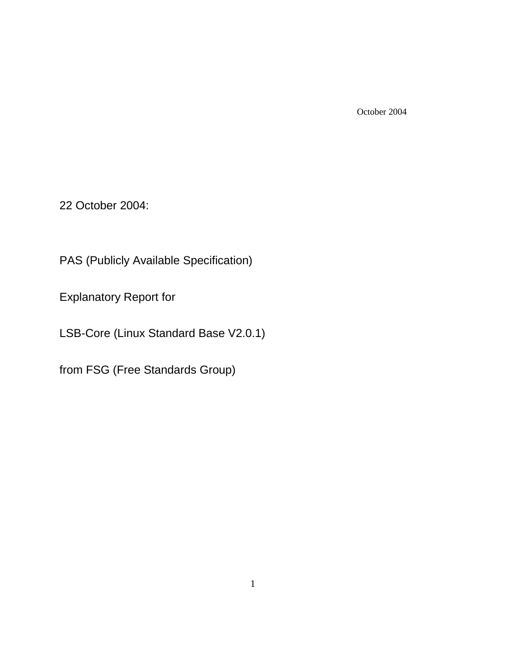October 2004

22 October 2004:

PAS (Publicly Available Specification)

Explanatory Report for

LSB-Core (Linux Standard Base V2.0.1)

from FSG (Free Standards Group)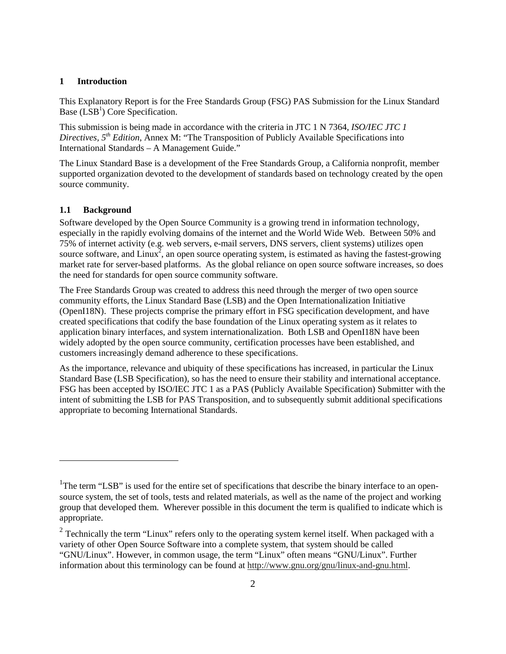### **1 Introduction**

This Explanatory Report is for the Free Standards Group (FSG) PAS Submission for the Linux Standard Base  $(LSB<sup>1</sup>)$  Core Specification.

This submission is being made in accordance with the criteria in JTC 1 N 7364, *ISO/IEC JTC 1 Directives, 5th Edition*, Annex M: "The Transposition of Publicly Available Specifications into International Standards – A Management Guide."

The Linux Standard Base is a development of the Free Standards Group, a California nonprofit, member supported organization devoted to the development of standards based on technology created by the open source community.

### **1.1 Background**

 $\overline{a}$ 

Software developed by the Open Source Community is a growing trend in information technology, especially in the rapidly evolving domains of the internet and the World Wide Web. Between 50% and 75% of internet activity (e.g. web servers, e-mail servers, DNS servers, client systems) utilizes open source software, and Linux<sup>2</sup>, an open source operating system, is estimated as having the fastest-growing market rate for server-based platforms. As the global reliance on open source software increases, so does the need for standards for open source community software.

The Free Standards Group was created to address this need through the merger of two open source community efforts, the Linux Standard Base (LSB) and the Open Internationalization Initiative (OpenI18N). These projects comprise the primary effort in FSG specification development, and have created specifications that codify the base foundation of the Linux operating system as it relates to application binary interfaces, and system internationalization. Both LSB and OpenI18N have been widely adopted by the open source community, certification processes have been established, and customers increasingly demand adherence to these specifications.

As the importance, relevance and ubiquity of these specifications has increased, in particular the Linux Standard Base (LSB Specification), so has the need to ensure their stability and international acceptance. FSG has been accepted by ISO/IEC JTC 1 as a PAS (Publicly Available Specification) Submitter with the intent of submitting the LSB for PAS Transposition, and to subsequently submit additional specifications appropriate to becoming International Standards.

<sup>&</sup>lt;sup>1</sup>The term "LSB" is used for the entire set of specifications that describe the binary interface to an opensource system, the set of tools, tests and related materials, as well as the name of the project and working group that developed them. Wherever possible in this document the term is qualified to indicate which is appropriate.

<sup>&</sup>lt;sup>2</sup> Technically the term "Linux" refers only to the operating system kernel itself. When packaged with a variety of other Open Source Software into a complete system, that system should be called "GNU/Linux". However, in common usage, the term "Linux" often means "GNU/Linux". Further information about this terminology can be found at http://www.gnu.org/gnu/linux-and-gnu.html.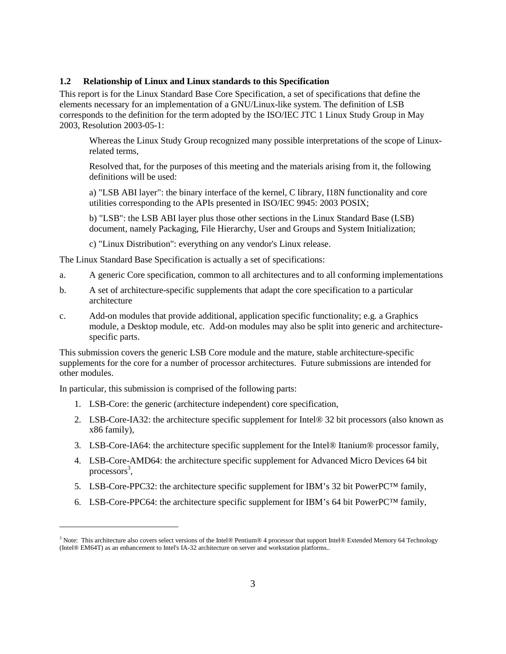### **1.2 Relationship of Linux and Linux standards to this Specification**

This report is for the Linux Standard Base Core Specification, a set of specifications that define the elements necessary for an implementation of a GNU/Linux-like system. The definition of LSB corresponds to the definition for the term adopted by the ISO/IEC JTC 1 Linux Study Group in May 2003, Resolution 2003-05-1:

Whereas the Linux Study Group recognized many possible interpretations of the scope of Linuxrelated terms,

Resolved that, for the purposes of this meeting and the materials arising from it, the following definitions will be used:

a) "LSB ABI layer": the binary interface of the kernel, C library, I18N functionality and core utilities corresponding to the APIs presented in ISO/IEC 9945: 2003 POSIX;

b) "LSB": the LSB ABI layer plus those other sections in the Linux Standard Base (LSB) document, namely Packaging, File Hierarchy, User and Groups and System Initialization;

c) "Linux Distribution": everything on any vendor's Linux release.

The Linux Standard Base Specification is actually a set of specifications:

- a. A generic Core specification, common to all architectures and to all conforming implementations
- b. A set of architecture-specific supplements that adapt the core specification to a particular architecture
- c. Add-on modules that provide additional, application specific functionality; e.g. a Graphics module, a Desktop module, etc. Add-on modules may also be split into generic and architecturespecific parts.

This submission covers the generic LSB Core module and the mature, stable architecture-specific supplements for the core for a number of processor architectures. Future submissions are intended for other modules.

In particular, this submission is comprised of the following parts:

 $\overline{a}$ 

- 1. LSB-Core: the generic (architecture independent) core specification,
- 2. LSB-Core-IA32: the architecture specific supplement for Intel® 32 bit processors (also known as x86 family),
- 3. LSB-Core-IA64: the architecture specific supplement for the Intel® Itanium® processor family,
- 4. LSB-Core-AMD64: the architecture specific supplement for Advanced Micro Devices 64 bit processors<sup>3</sup>,
- 5. LSB-Core-PPC32: the architecture specific supplement for IBM's 32 bit PowerPC™ family,
- 6. LSB-Core-PPC64: the architecture specific supplement for IBM's 64 bit PowerPC<sup>TM</sup> family,

<sup>&</sup>lt;sup>3</sup> Note: This architecture also covers select versions of the Intel® Pentium® 4 processor that support Intel® Extended Memory 64 Technology (Intel® EM64T) as an enhancement to Intel's IA-32 architecture on server and workstation platforms..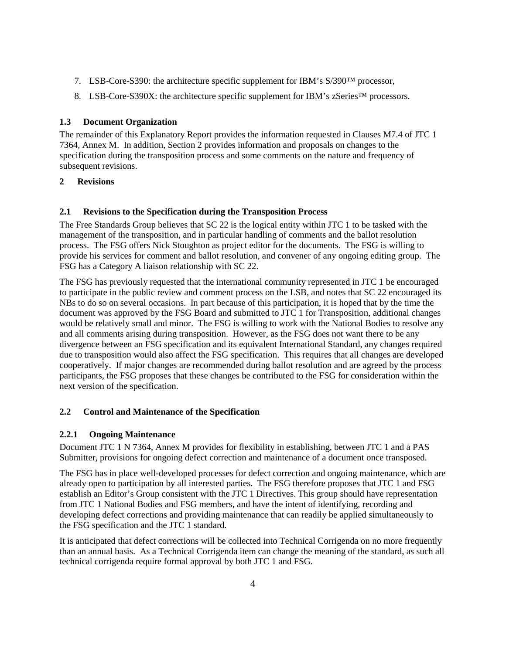- 7. LSB-Core-S390: the architecture specific supplement for IBM's S/390™ processor,
- 8. LSB-Core-S390X: the architecture specific supplement for IBM's zSeries<sup>™</sup> processors.

# **1.3 Document Organization**

The remainder of this Explanatory Report provides the information requested in Clauses M7.4 of JTC 1 7364, Annex M. In addition, Section 2 provides information and proposals on changes to the specification during the transposition process and some comments on the nature and frequency of subsequent revisions.

# **2 Revisions**

# **2.1 Revisions to the Specification during the Transposition Process**

The Free Standards Group believes that SC 22 is the logical entity within JTC 1 to be tasked with the management of the transposition, and in particular handling of comments and the ballot resolution process. The FSG offers Nick Stoughton as project editor for the documents. The FSG is willing to provide his services for comment and ballot resolution, and convener of any ongoing editing group. The FSG has a Category A liaison relationship with SC 22.

The FSG has previously requested that the international community represented in JTC 1 be encouraged to participate in the public review and comment process on the LSB, and notes that SC 22 encouraged its NBs to do so on several occasions. In part because of this participation, it is hoped that by the time the document was approved by the FSG Board and submitted to JTC 1 for Transposition, additional changes would be relatively small and minor. The FSG is willing to work with the National Bodies to resolve any and all comments arising during transposition. However, as the FSG does not want there to be any divergence between an FSG specification and its equivalent International Standard, any changes required due to transposition would also affect the FSG specification. This requires that all changes are developed cooperatively. If major changes are recommended during ballot resolution and are agreed by the process participants, the FSG proposes that these changes be contributed to the FSG for consideration within the next version of the specification.

## **2.2 Control and Maintenance of the Specification**

## **2.2.1 Ongoing Maintenance**

Document JTC 1 N 7364, Annex M provides for flexibility in establishing, between JTC 1 and a PAS Submitter, provisions for ongoing defect correction and maintenance of a document once transposed.

The FSG has in place well-developed processes for defect correction and ongoing maintenance, which are already open to participation by all interested parties. The FSG therefore proposes that JTC 1 and FSG establish an Editor's Group consistent with the JTC 1 Directives. This group should have representation from JTC 1 National Bodies and FSG members, and have the intent of identifying, recording and developing defect corrections and providing maintenance that can readily be applied simultaneously to the FSG specification and the JTC 1 standard.

It is anticipated that defect corrections will be collected into Technical Corrigenda on no more frequently than an annual basis. As a Technical Corrigenda item can change the meaning of the standard, as such all technical corrigenda require formal approval by both JTC 1 and FSG.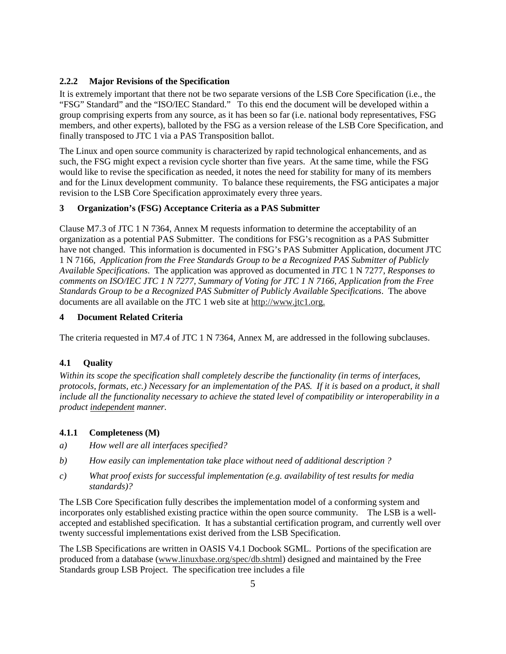## **2.2.2 Major Revisions of the Specification**

It is extremely important that there not be two separate versions of the LSB Core Specification (i.e., the "FSG" Standard" and the "ISO/IEC Standard." To this end the document will be developed within a group comprising experts from any source, as it has been so far (i.e. national body representatives, FSG members, and other experts), balloted by the FSG as a version release of the LSB Core Specification, and finally transposed to JTC 1 via a PAS Transposition ballot.

The Linux and open source community is characterized by rapid technological enhancements, and as such, the FSG might expect a revision cycle shorter than five years. At the same time, while the FSG would like to revise the specification as needed, it notes the need for stability for many of its members and for the Linux development community. To balance these requirements, the FSG anticipates a major revision to the LSB Core Specification approximately every three years.

## **3 Organization's (FSG) Acceptance Criteria as a PAS Submitter**

Clause M7.3 of JTC 1 N 7364, Annex M requests information to determine the acceptability of an organization as a potential PAS Submitter. The conditions for FSG's recognition as a PAS Submitter have not changed. This information is documented in FSG's PAS Submitter Application, document JTC 1 N 7166, *Application from the Free Standards Group to be a Recognized PAS Submitter of Publicly Available Specifications*. The application was approved as documented in JTC 1 N 7277, *Responses to comments on ISO/IEC JTC 1 N 7277, Summary of Voting for JTC 1 N 7166, Application from the Free Standards Group to be a Recognized PAS Submitter of Publicly Available Specifications*. The above documents are all available on the JTC 1 web site at http://www.jtc1.org.

#### **4 Document Related Criteria**

The criteria requested in M7.4 of JTC 1 N 7364, Annex M, are addressed in the following subclauses.

## **4.1 Quality**

*Within its scope the specification shall completely describe the functionality (in terms of interfaces, protocols, formats, etc.) Necessary for an implementation of the PAS. If it is based on a product, it shall include all the functionality necessary to achieve the stated level of compatibility or interoperability in a product independent manner.*

## **4.1.1 Completeness (M)**

- *a) How well are all interfaces specified?*
- *b) How easily can implementation take place without need of additional description ?*
- *c) What proof exists for successful implementation (e.g. availability of test results for media standards)?*

The LSB Core Specification fully describes the implementation model of a conforming system and incorporates only established existing practice within the open source community. The LSB is a wellaccepted and established specification. It has a substantial certification program, and currently well over twenty successful implementations exist derived from the LSB Specification.

The LSB Specifications are written in OASIS V4.1 Docbook SGML. Portions of the specification are produced from a database (www.linuxbase.org/spec/db.shtml) designed and maintained by the Free Standards group LSB Project. The specification tree includes a file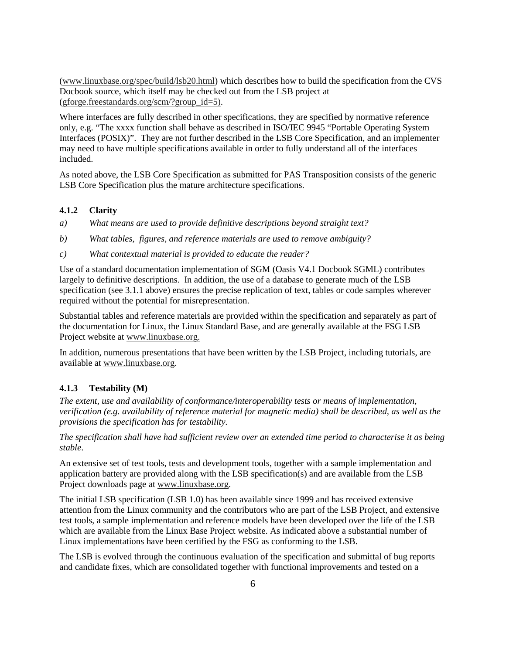(www.linuxbase.org/spec/build/lsb20.html) which describes how to build the specification from the CVS Docbook source, which itself may be checked out from the LSB project at (gforge.freestandards.org/scm/?group  $id=5$ ).

Where interfaces are fully described in other specifications, they are specified by normative reference only, e.g. "The xxxx function shall behave as described in ISO/IEC 9945 "Portable Operating System Interfaces (POSIX)". They are not further described in the LSB Core Specification, and an implementer may need to have multiple specifications available in order to fully understand all of the interfaces included.

As noted above, the LSB Core Specification as submitted for PAS Transposition consists of the generic LSB Core Specification plus the mature architecture specifications.

## **4.1.2 Clarity**

*a) What means are used to provide definitive descriptions beyond straight text?*

*b) What tables, figures, and reference materials are used to remove ambiguity?* 

*c) What contextual material is provided to educate the reader?* 

Use of a standard documentation implementation of SGM (Oasis V4.1 Docbook SGML) contributes largely to definitive descriptions. In addition, the use of a database to generate much of the LSB specification (see 3.1.1 above) ensures the precise replication of text, tables or code samples wherever required without the potential for misrepresentation.

Substantial tables and reference materials are provided within the specification and separately as part of the documentation for Linux, the Linux Standard Base, and are generally available at the FSG LSB Project website at www.linuxbase.org.

In addition, numerous presentations that have been written by the LSB Project, including tutorials, are available at www.linuxbase.org.

#### **4.1.3 Testability (M)**

*The extent, use and availability of conformance/interoperability tests or means of implementation, verification (e.g. availability of reference material for magnetic media) shall be described, as well as the provisions the specification has for testability.* 

*The specification shall have had sufficient review over an extended time period to characterise it as being stable*.

An extensive set of test tools, tests and development tools, together with a sample implementation and application battery are provided along with the LSB specification(s) and are available from the LSB Project downloads page at www.linuxbase.org.

The initial LSB specification (LSB 1.0) has been available since 1999 and has received extensive attention from the Linux community and the contributors who are part of the LSB Project, and extensive test tools, a sample implementation and reference models have been developed over the life of the LSB which are available from the Linux Base Project website. As indicated above a substantial number of Linux implementations have been certified by the FSG as conforming to the LSB.

The LSB is evolved through the continuous evaluation of the specification and submittal of bug reports and candidate fixes, which are consolidated together with functional improvements and tested on a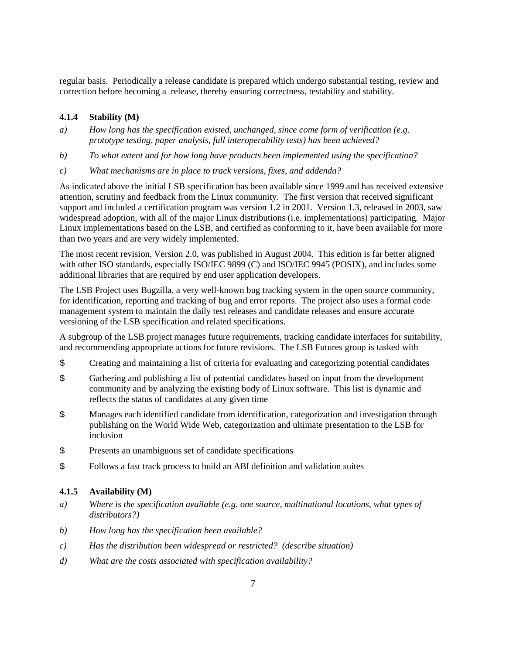regular basis. Periodically a release candidate is prepared which undergo substantial testing, review and correction before becoming a release, thereby ensuring correctness, testability and stability.

### **4.1.4 Stability (M)**

- *a) How long has the specification existed, unchanged, since come form of verification (e.g. prototype testing, paper analysis, full interoperability tests) has been achieved?*
- *b) To what extent and for how long have products been implemented using the specification?*
- *c) What mechanisms are in place to track versions, fixes, and addenda?*

As indicated above the initial LSB specification has been available since 1999 and has received extensive attention, scrutiny and feedback from the Linux community. The first version that received significant support and included a certification program was version 1.2 in 2001. Version 1.3, released in 2003, saw widespread adoption, with all of the major Linux distributions (i.e. implementations) participating. Major Linux implementations based on the LSB, and certified as conforming to it, have been available for more than two years and are very widely implemented.

The most recent revision, Version 2.0, was published in August 2004. This edition is far better aligned with other ISO standards, especially ISO/IEC 9899 (C) and ISO/IEC 9945 (POSIX), and includes some additional libraries that are required by end user application developers.

The LSB Project uses Bugzilla, a very well-known bug tracking system in the open source community, for identification, reporting and tracking of bug and error reports. The project also uses a formal code management system to maintain the daily test releases and candidate releases and ensure accurate versioning of the LSB specification and related specifications.

A subgroup of the LSB project manages future requirements, tracking candidate interfaces for suitability, and recommending appropriate actions for future revisions. The LSB Futures group is tasked with

- \$ Creating and maintaining a list of criteria for evaluating and categorizing potential candidates
- \$ Gathering and publishing a list of potential candidates based on input from the development community and by analyzing the existing body of Linux software. This list is dynamic and reflects the status of candidates at any given time
- \$ Manages each identified candidate from identification, categorization and investigation through publishing on the World Wide Web, categorization and ultimate presentation to the LSB for inclusion
- \$ Presents an unambiguous set of candidate specifications
- \$ Follows a fast track process to build an ABI definition and validation suites

### **4.1.5 Availability (M)**

- *a) Where is the specification available (e.g. one source, multinational locations, what types of distributors?)*
- *b) How long has the specification been available?*
- *c) Has the distribution been widespread or restricted? (describe situation)*
- *d) What are the costs associated with specification availability?*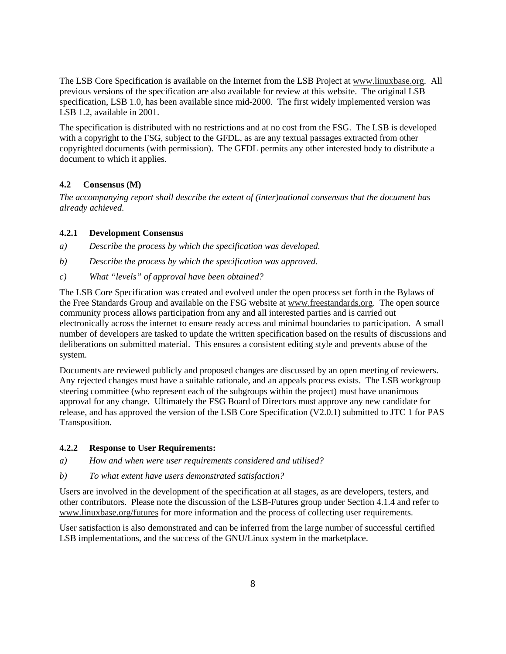The LSB Core Specification is available on the Internet from the LSB Project at www.linuxbase.org. All previous versions of the specification are also available for review at this website. The original LSB specification, LSB 1.0, has been available since mid-2000. The first widely implemented version was LSB 1.2, available in 2001.

The specification is distributed with no restrictions and at no cost from the FSG. The LSB is developed with a copyright to the FSG, subject to the GFDL, as are any textual passages extracted from other copyrighted documents (with permission). The GFDL permits any other interested body to distribute a document to which it applies.

## **4.2 Consensus (M)**

*The accompanying report shall describe the extent of (inter)national consensus that the document has already achieved.*

### **4.2.1 Development Consensus**

- *a) Describe the process by which the specification was developed.*
- *b) Describe the process by which the specification was approved.*
- *c) What "levels" of approval have been obtained?*

The LSB Core Specification was created and evolved under the open process set forth in the Bylaws of the Free Standards Group and available on the FSG website at www.freestandards.org. The open source community process allows participation from any and all interested parties and is carried out electronically across the internet to ensure ready access and minimal boundaries to participation. A small number of developers are tasked to update the written specification based on the results of discussions and deliberations on submitted material. This ensures a consistent editing style and prevents abuse of the system.

Documents are reviewed publicly and proposed changes are discussed by an open meeting of reviewers. Any rejected changes must have a suitable rationale, and an appeals process exists. The LSB workgroup steering committee (who represent each of the subgroups within the project) must have unanimous approval for any change. Ultimately the FSG Board of Directors must approve any new candidate for release, and has approved the version of the LSB Core Specification (V2.0.1) submitted to JTC 1 for PAS Transposition.

## **4.2.2 Response to User Requirements:**

- *a) How and when were user requirements considered and utilised?*
- *b) To what extent have users demonstrated satisfaction?*

Users are involved in the development of the specification at all stages, as are developers, testers, and other contributors. Please note the discussion of the LSB-Futures group under Section 4.1.4 and refer to www.linuxbase.org/futures for more information and the process of collecting user requirements.

User satisfaction is also demonstrated and can be inferred from the large number of successful certified LSB implementations, and the success of the GNU/Linux system in the marketplace.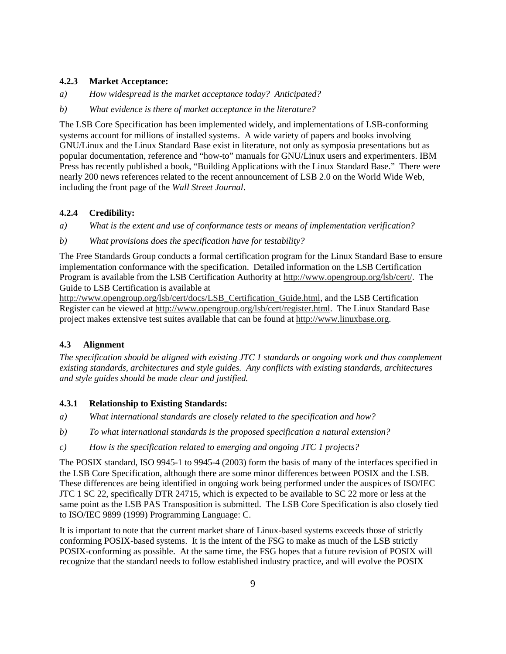### **4.2.3 Market Acceptance:**

- *a) How widespread is the market acceptance today? Anticipated?*
- *b) What evidence is there of market acceptance in the literature?*

The LSB Core Specification has been implemented widely, and implementations of LSB-conforming systems account for millions of installed systems. A wide variety of papers and books involving GNU/Linux and the Linux Standard Base exist in literature, not only as symposia presentations but as popular documentation, reference and "how-to" manuals for GNU/Linux users and experimenters. IBM Press has recently published a book, "Building Applications with the Linux Standard Base." There were nearly 200 news references related to the recent announcement of LSB 2.0 on the World Wide Web, including the front page of the *Wall Street Journal*.

## **4.2.4 Credibility:**

- *a) What is the extent and use of conformance tests or means of implementation verification?*
- *b) What provisions does the specification have for testability?*

The Free Standards Group conducts a formal certification program for the Linux Standard Base to ensure implementation conformance with the specification. Detailed information on the LSB Certification Program is available from the LSB Certification Authority at http://www.opengroup.org/lsb/cert/. The Guide to LSB Certification is available at

http://www.opengroup.org/lsb/cert/docs/LSB\_Certification\_Guide.html, and the LSB Certification Register can be viewed at http://www.opengroup.org/lsb/cert/register.html. The Linux Standard Base project makes extensive test suites available that can be found at http://www.linuxbase.org.

## **4.3 Alignment**

*The specification should be aligned with existing JTC 1 standards or ongoing work and thus complement existing standards, architectures and style guides. Any conflicts with existing standards, architectures and style guides should be made clear and justified.*

## **4.3.1 Relationship to Existing Standards:**

- *a) What international standards are closely related to the specification and how?*
- *b) To what international standards is the proposed specification a natural extension?*
- *c) How is the specification related to emerging and ongoing JTC 1 projects?*

The POSIX standard, ISO 9945-1 to 9945-4 (2003) form the basis of many of the interfaces specified in the LSB Core Specification, although there are some minor differences between POSIX and the LSB. These differences are being identified in ongoing work being performed under the auspices of ISO/IEC JTC 1 SC 22, specifically DTR 24715, which is expected to be available to SC 22 more or less at the same point as the LSB PAS Transposition is submitted. The LSB Core Specification is also closely tied to ISO/IEC 9899 (1999) Programming Language: C.

It is important to note that the current market share of Linux-based systems exceeds those of strictly conforming POSIX-based systems. It is the intent of the FSG to make as much of the LSB strictly POSIX-conforming as possible. At the same time, the FSG hopes that a future revision of POSIX will recognize that the standard needs to follow established industry practice, and will evolve the POSIX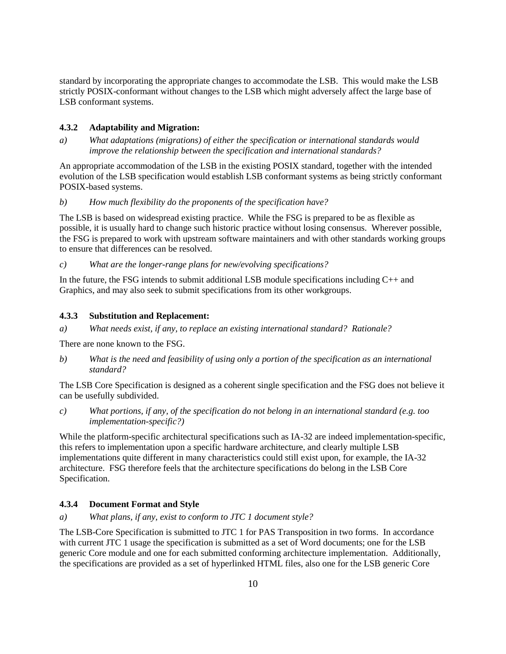standard by incorporating the appropriate changes to accommodate the LSB. This would make the LSB strictly POSIX-conformant without changes to the LSB which might adversely affect the large base of LSB conformant systems.

## **4.3.2 Adaptability and Migration:**

*a) What adaptations (migrations) of either the specification or international standards would improve the relationship between the specification and international standards?* 

An appropriate accommodation of the LSB in the existing POSIX standard, together with the intended evolution of the LSB specification would establish LSB conformant systems as being strictly conformant POSIX-based systems.

*b) How much flexibility do the proponents of the specification have?* 

The LSB is based on widespread existing practice. While the FSG is prepared to be as flexible as possible, it is usually hard to change such historic practice without losing consensus. Wherever possible, the FSG is prepared to work with upstream software maintainers and with other standards working groups to ensure that differences can be resolved.

*c) What are the longer-range plans for new/evolving specifications?* 

In the future, the FSG intends to submit additional LSB module specifications including  $C_{++}$  and Graphics, and may also seek to submit specifications from its other workgroups.

### **4.3.3 Substitution and Replacement:**

*a) What needs exist, if any, to replace an existing international standard? Rationale?* 

There are none known to the FSG.

*b) What is the need and feasibility of using only a portion of the specification as an international standard?* 

The LSB Core Specification is designed as a coherent single specification and the FSG does not believe it can be usefully subdivided.

*c) What portions, if any, of the specification do not belong in an international standard (e.g. too implementation-specific?)* 

While the platform-specific architectural specifications such as IA-32 are indeed implementation-specific, this refers to implementation upon a specific hardware architecture, and clearly multiple LSB implementations quite different in many characteristics could still exist upon, for example, the IA-32 architecture. FSG therefore feels that the architecture specifications do belong in the LSB Core Specification.

## **4.3.4 Document Format and Style**

*a) What plans, if any, exist to conform to JTC 1 document style?* 

The LSB-Core Specification is submitted to JTC 1 for PAS Transposition in two forms. In accordance with current JTC 1 usage the specification is submitted as a set of Word documents; one for the LSB generic Core module and one for each submitted conforming architecture implementation. Additionally, the specifications are provided as a set of hyperlinked HTML files, also one for the LSB generic Core